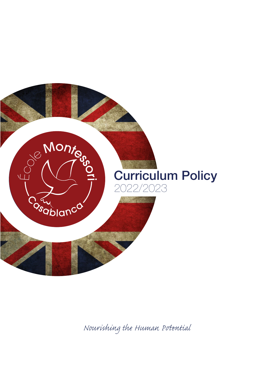

*Nourishing the Human Pential*